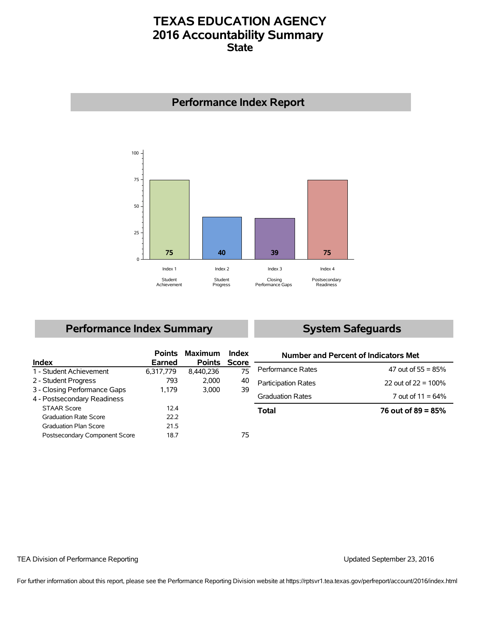## **TEXAS EDUCATION AGENCY 2016 Accountability Summary State**



## **Performance Index Report**

## **Performance Index Summary**

## **System Safeguards**

|                               |           | <b>Points Maximum</b> | Index |
|-------------------------------|-----------|-----------------------|-------|
| Index                         | Earned    | <b>Points</b>         | Score |
| 1 - Student Achievement       | 6,317,779 | 8,440,236             | 75    |
| 2 - Student Progress          | 793       | 2,000                 | 40    |
| 3 - Closing Performance Gaps  | 1.179     | 3.000                 | 39    |
| 4 - Postsecondary Readiness   |           |                       |       |
| <b>STAAR Score</b>            | 12.4      |                       |       |
| <b>Graduation Rate Score</b>  | 22.2      |                       |       |
| <b>Graduation Plan Score</b>  | 21.5      |                       |       |
| Postsecondary Component Score | 18.7      |                       | 75    |

| Number and Percent of Indicators Met |                        |  |  |  |  |  |
|--------------------------------------|------------------------|--|--|--|--|--|
| Performance Rates                    | 47 out of 55 = $85\%$  |  |  |  |  |  |
| <b>Participation Rates</b>           | 22 out of $22 = 100\%$ |  |  |  |  |  |
| <b>Graduation Rates</b>              | 7 out of $11 = 64\%$   |  |  |  |  |  |
| Total                                | 76 out of 89 = $85\%$  |  |  |  |  |  |

### TEA Division of Performance Reporting Updated September 23, 2016

For further information about this report, please see the Performance Reporting Division website at https://rptsvr1.tea.texas.gov/perfreport/account/2016/index.html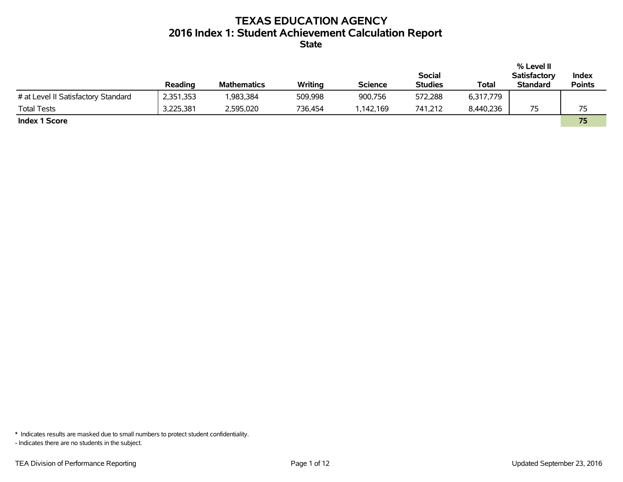# **TEXAS EDUCATION AGENCY 2016 Index 1: Student Achievement Calculation Report**

**State**

|                                     |           |                    |         |                |                |           | % Level II          |               |
|-------------------------------------|-----------|--------------------|---------|----------------|----------------|-----------|---------------------|---------------|
|                                     |           |                    |         |                | <b>Social</b>  |           | <b>Satisfactory</b> | Index         |
|                                     | Reading   | <b>Mathematics</b> | Writing | <b>Science</b> | <b>Studies</b> | Total     | <b>Standard</b>     | <b>Points</b> |
| # at Level II Satisfactory Standard | 2,351,353 | 983,384            | 509,998 | 900,756        | 572,288        | 6,317,779 |                     |               |
| <b>Total Tests</b>                  | 3,225,381 | 2,595,020          | 736,454 | ,142,169       | 741,212        | 8,440,236 | 75                  | 75            |
| <b>Index 1 Score</b>                |           |                    |         |                |                |           |                     | 75            |

\* Indicates results are masked due to small numbers to protect student confidentiality.

- Indicates there are no students in the subject.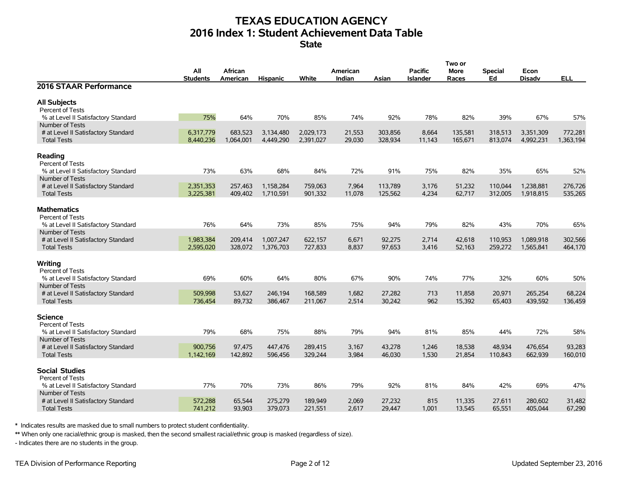# **TEXAS EDUCATION AGENCY 2016 Index 1: Student Achievement Data Table**

**State**

|                                                        |                 |           |                 |           |          |         |                 | Two or  |         |               |            |
|--------------------------------------------------------|-----------------|-----------|-----------------|-----------|----------|---------|-----------------|---------|---------|---------------|------------|
|                                                        | All             | African   |                 |           | American |         | <b>Pacific</b>  | More    | Special | Econ          |            |
|                                                        | <b>Students</b> | American  | <b>Hispanic</b> | White     | Indian   | Asian   | <b>Islander</b> | Races   | Ed      | <b>Disadv</b> | <b>ELL</b> |
| 2016 STAAR Performance                                 |                 |           |                 |           |          |         |                 |         |         |               |            |
| <b>All Subjects</b>                                    |                 |           |                 |           |          |         |                 |         |         |               |            |
| Percent of Tests                                       |                 |           |                 |           |          |         |                 |         |         |               |            |
| % at Level II Satisfactory Standard                    | 75%             | 64%       | 70%             | 85%       | 74%      | 92%     | 78%             | 82%     | 39%     | 67%           | 57%        |
| Number of Tests                                        |                 |           |                 |           |          |         |                 |         |         |               |            |
| # at Level II Satisfactory Standard                    | 6,317,779       | 683,523   | 3,134,480       | 2,029,173 | 21,553   | 303,856 | 8,664           | 135,581 | 318,513 | 3,351,309     | 772,281    |
| <b>Total Tests</b>                                     | 8,440,236       | 1,064,001 | 4,449,290       | 2,391,027 | 29,030   | 328,934 | 11,143          | 165,671 | 813,074 | 4,992,231     | 1,363,194  |
| Reading                                                |                 |           |                 |           |          |         |                 |         |         |               |            |
| Percent of Tests                                       |                 |           |                 |           |          |         |                 |         |         |               |            |
| % at Level II Satisfactory Standard                    | 73%             | 63%       | 68%             | 84%       | 72%      | 91%     | 75%             | 82%     | 35%     | 65%           | 52%        |
| Number of Tests                                        |                 |           |                 |           |          |         |                 |         |         |               |            |
| # at Level II Satisfactory Standard                    | 2,351,353       | 257,463   | 1,158,284       | 759,063   | 7,964    | 113,789 | 3,176           | 51,232  | 110,044 | 1,238,881     | 276,726    |
| <b>Total Tests</b>                                     | 3,225,381       | 409,402   | 1,710,591       | 901,332   | 11,078   | 125,562 | 4,234           | 62,717  | 312,005 | 1,918,815     | 535,265    |
|                                                        |                 |           |                 |           |          |         |                 |         |         |               |            |
| <b>Mathematics</b>                                     |                 |           |                 |           |          |         |                 |         |         |               |            |
| Percent of Tests                                       |                 |           |                 |           |          |         |                 |         |         |               |            |
| % at Level II Satisfactory Standard                    | 76%             | 64%       | 73%             | 85%       | 75%      | 94%     | 79%             | 82%     | 43%     | 70%           | 65%        |
| Number of Tests                                        |                 |           |                 |           |          |         |                 |         |         |               |            |
| # at Level II Satisfactory Standard                    | 1,983,384       | 209,414   | 1,007,247       | 622,157   | 6,671    | 92,275  | 2,714           | 42,618  | 110,953 | 1,089,918     | 302,566    |
| <b>Total Tests</b>                                     | 2,595,020       | 328,072   | 1,376,703       | 727,833   | 8,837    | 97,653  | 3,416           | 52,163  | 259,272 | 1,565,841     | 464,170    |
|                                                        |                 |           |                 |           |          |         |                 |         |         |               |            |
| Writing                                                |                 |           |                 |           |          |         |                 |         |         |               |            |
| Percent of Tests                                       | 69%             | 60%       | 64%             | 80%       | 67%      | 90%     | 74%             | 77%     | 32%     | 60%           | 50%        |
| % at Level II Satisfactory Standard<br>Number of Tests |                 |           |                 |           |          |         |                 |         |         |               |            |
| # at Level II Satisfactory Standard                    | 509,998         | 53,627    | 246,194         | 168,589   | 1,682    | 27,282  | 713             | 11,858  | 20,971  | 265,254       | 68,224     |
| <b>Total Tests</b>                                     | 736,454         | 89,732    | 386,467         | 211,067   | 2,514    | 30,242  | 962             | 15,392  | 65,403  | 439,592       | 136,459    |
|                                                        |                 |           |                 |           |          |         |                 |         |         |               |            |
| Science                                                |                 |           |                 |           |          |         |                 |         |         |               |            |
| Percent of Tests                                       |                 |           |                 |           |          |         |                 |         |         |               |            |
| % at Level II Satisfactory Standard                    | 79%             | 68%       | 75%             | 88%       | 79%      | 94%     | 81%             | 85%     | 44%     | 72%           | 58%        |
| Number of Tests                                        |                 |           |                 |           |          |         |                 |         |         |               |            |
| # at Level II Satisfactory Standard                    | 900,756         | 97,475    | 447,476         | 289,415   | 3,167    | 43,278  | 1,246           | 18,538  | 48,934  | 476,654       | 93,283     |
| <b>Total Tests</b>                                     | 1,142,169       | 142,892   | 596,456         | 329,244   | 3,984    | 46,030  | 1,530           | 21,854  | 110,843 | 662,939       | 160,010    |
|                                                        |                 |           |                 |           |          |         |                 |         |         |               |            |
| <b>Social Studies</b>                                  |                 |           |                 |           |          |         |                 |         |         |               |            |
| Percent of Tests                                       |                 |           |                 |           |          |         |                 |         |         |               |            |
| % at Level II Satisfactory Standard                    | 77%             | 70%       | 73%             | 86%       | 79%      | 92%     | 81%             | 84%     | 42%     | 69%           | 47%        |
| Number of Tests                                        |                 |           |                 |           |          |         |                 |         |         |               |            |
| # at Level II Satisfactory Standard                    | 572,288         | 65,544    | 275,279         | 189,949   | 2,069    | 27,232  | 815             | 11,335  | 27,611  | 280,602       | 31,482     |
| <b>Total Tests</b>                                     | 741,212         | 93,903    | 379,073         | 221,551   | 2,617    | 29,447  | 1,001           | 13,545  | 65,551  | 405,044       | 67,290     |

\* Indicates results are masked due to small numbers to protect student confidentiality.

\*\* When only one racial/ethnic group is masked, then the second smallest racial/ethnic group is masked (regardless of size).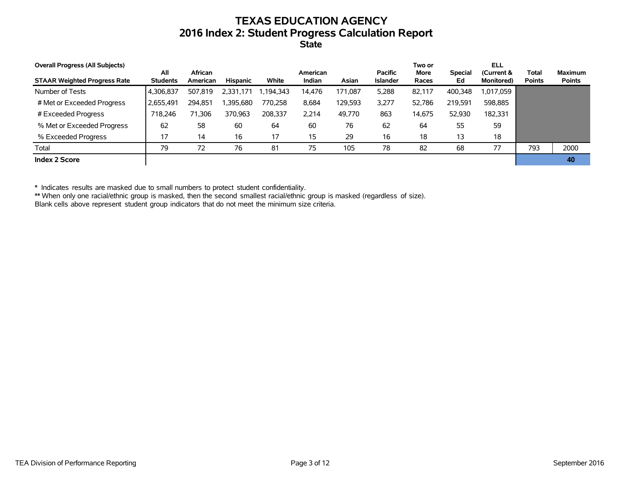## **TEXAS EDUCATION AGENCY 2016 Index 2: Student Progress Calculation Report State**

| <b>Overall Progress (All Subjects)</b> |                        |                     |           |          |                    |         |                                   | Two or        |                      | <b>ELL</b>                       |                               |                                 |
|----------------------------------------|------------------------|---------------------|-----------|----------|--------------------|---------|-----------------------------------|---------------|----------------------|----------------------------------|-------------------------------|---------------------------------|
| <b>STAAR Weighted Progress Rate</b>    | All<br><b>Students</b> | African<br>American | Hispanic  | White    | American<br>Indian | Asian   | <b>Pacific</b><br><b>Islander</b> | More<br>Races | <b>Special</b><br>Ed | (Current &<br><b>Monitored</b> ) | <b>Total</b><br><b>Points</b> | <b>Maximum</b><br><b>Points</b> |
| Number of Tests                        | 4,306,837              | 507,819             | 2,331,171 | .194,343 | 14.476             | 171.087 | 5,288                             | 82.117        | 400,348              | 1,017,059                        |                               |                                 |
| # Met or Exceeded Progress             | 2,655,491              | 294.851             | ,395,680  | 770.258  | 8.684              | 129,593 | 3,277                             | 52.786        | 219,591              | 598,885                          |                               |                                 |
| # Exceeded Progress                    | 718.246                | 71.306              | 370.963   | 208.337  | 2.214              | 49,770  | 863                               | 14,675        | 52,930               | 182.331                          |                               |                                 |
| % Met or Exceeded Progress             | 62                     | 58                  | 60        | 64       | 60                 | 76      | 62                                | 64            | 55                   | 59                               |                               |                                 |
| % Exceeded Progress                    | 17                     | 14                  | 16        | 17       | 15                 | 29      | 16                                | 18            | 13                   | 18                               |                               |                                 |
| Total                                  | 79                     | 72                  | 76        | 81       | 75                 | 105     | 78                                | 82            | 68                   | 77                               | 793                           | 2000                            |
| Index 2 Score                          |                        |                     |           |          |                    |         |                                   |               |                      |                                  |                               | 40                              |

\* Indicates results are masked due to small numbers to protect student confidentiality.

\*\* When only one racial/ethnic group is masked, then the second smallest racial/ethnic group is masked (regardless of size).

Blank cells above represent student group indicators that do not meet the minimum size criteria.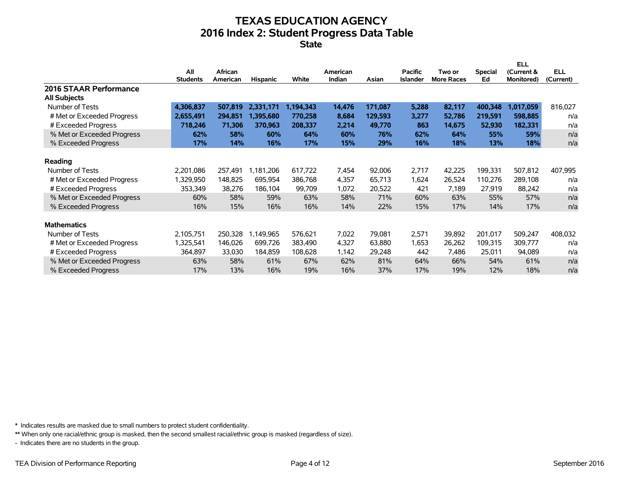# **TEXAS EDUCATION AGENCY 2016 Index 2: Student Progress Data Table**

**State**

|                            |                 |          |           |            |          |         |                 |                   |                | <b>ELL</b> |            |
|----------------------------|-----------------|----------|-----------|------------|----------|---------|-----------------|-------------------|----------------|------------|------------|
|                            | All             | African  |           |            | American |         | <b>Pacific</b>  | Two or            | <b>Special</b> | (Current & | <b>ELL</b> |
|                            | <b>Students</b> | American | Hispanic  | White      | Indian   | Asian   | <b>Islander</b> | <b>More Races</b> | Ed             | Monitored) | (Current)  |
| 2016 STAAR Performance     |                 |          |           |            |          |         |                 |                   |                |            |            |
| <b>All Subjects</b>        |                 |          |           |            |          |         |                 |                   |                |            |            |
| Number of Tests            | 4,306,837       | 507,819  | 2,331,171 | 1,194,343  | 14,476   | 171,087 | 5,288           | 82,117            | 400,348        | 1,017,059  | 816,027    |
| # Met or Exceeded Progress | 2,655,491       | 294,851  | 1.395.680 | 770,258    | 8,684    | 129,593 | 3,277           | 52,786            | 219,591        | 598,885    | n/a        |
| # Exceeded Progress        | 718,246         | 71,306   | 370,963   | 208,337    | 2,214    | 49,770  | 863             | 14,675            | 52,930         | 182,331    | n/a        |
| % Met or Exceeded Progress | 62%             | 58%      | 60%       | 64%        | 60%      | 76%     | 62%             | 64%               | 55%            | 59%        | n/a        |
| % Exceeded Progress        | 17%             | 14%      | 16%       | <b>17%</b> | 15%      | 29%     | 16%             | 18%               | 13%            | 18%        | n/a        |
|                            |                 |          |           |            |          |         |                 |                   |                |            |            |
| Reading                    |                 |          |           |            |          |         |                 |                   |                |            |            |
| Number of Tests            | 2,201,086       | 257.491  | 1,181,206 | 617,722    | 7,454    | 92,006  | 2,717           | 42,225            | 199,331        | 507,812    | 407,995    |
| # Met or Exceeded Progress | 1,329,950       | 148.825  | 695,954   | 386.768    | 4,357    | 65,713  | 1,624           | 26,524            | 110,276        | 289,108    | n/a        |
| # Exceeded Progress        | 353,349         | 38,276   | 186,104   | 99,709     | 1,072    | 20,522  | 421             | 7,189             | 27,919         | 88,242     | n/a        |
| % Met or Exceeded Progress | 60%             | 58%      | 59%       | 63%        | 58%      | 71%     | 60%             | 63%               | 55%            | 57%        | n/a        |
| % Exceeded Progress        | 16%             | 15%      | 16%       | 16%        | 14%      | 22%     | 15%             | 17%               | 14%            | 17%        | n/a        |
|                            |                 |          |           |            |          |         |                 |                   |                |            |            |
| <b>Mathematics</b>         |                 |          |           |            |          |         |                 |                   |                |            |            |
| Number of Tests            | 2,105,751       | 250.328  | 1,149,965 | 576,621    | 7,022    | 79,081  | 2,571           | 39,892            | 201.017        | 509,247    | 408,032    |
| # Met or Exceeded Progress | 1,325,541       | 146,026  | 699,726   | 383,490    | 4,327    | 63,880  | 1,653           | 26,262            | 109,315        | 309,777    | n/a        |
| # Exceeded Progress        | 364,897         | 33,030   | 184,859   | 108,628    | 1,142    | 29,248  | 442             | 7,486             | 25,011         | 94,089     | n/a        |
| % Met or Exceeded Progress | 63%             | 58%      | 61%       | 67%        | 62%      | 81%     | 64%             | 66%               | 54%            | 61%        | n/a        |
| % Exceeded Progress        | 17%             | 13%      | 16%       | 19%        | 16%      | 37%     | 17%             | 19%               | 12%            | 18%        | n/a        |
|                            |                 |          |           |            |          |         |                 |                   |                |            |            |

\* Indicates results are masked due to small numbers to protect student confidentiality.

\*\* When only one racial/ethnic group is masked, then the second smallest racial/ethnic group is masked (regardless of size).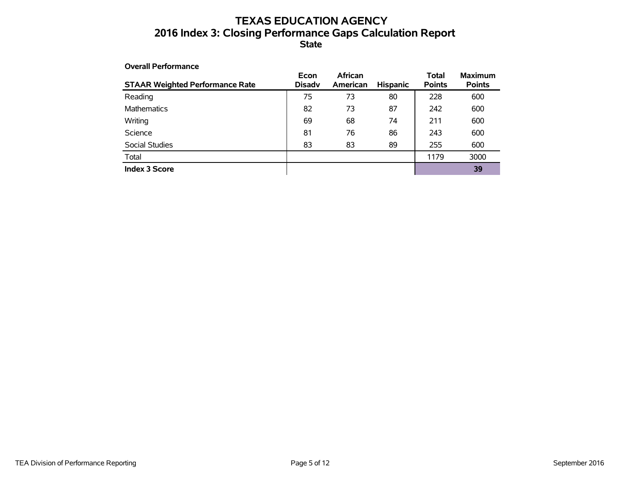## **TEXAS EDUCATION AGENCY 2016 Index 3: Closing Performance Gaps Calculation Report State**

| <b>Overall Performance</b>             |                       |                            |                 |                        |                                 |
|----------------------------------------|-----------------------|----------------------------|-----------------|------------------------|---------------------------------|
| <b>STAAR Weighted Performance Rate</b> | Econ<br><b>Disadv</b> | <b>African</b><br>American | <b>Hispanic</b> | Total<br><b>Points</b> | <b>Maximum</b><br><b>Points</b> |
| Reading                                | 75                    | 73                         | 80              | 228                    | 600                             |
| <b>Mathematics</b>                     | 82                    | 73                         | 87              | 242                    | 600                             |
| Writing                                | 69                    | 68                         | 74              | 211                    | 600                             |
| Science                                | 81                    | 76                         | 86              | 243                    | 600                             |
| Social Studies                         | 83                    | 83                         | 89              | 255                    | 600                             |
| Total                                  |                       |                            |                 | 1179                   | 3000                            |
| <b>Index 3 Score</b>                   |                       |                            |                 |                        | 39                              |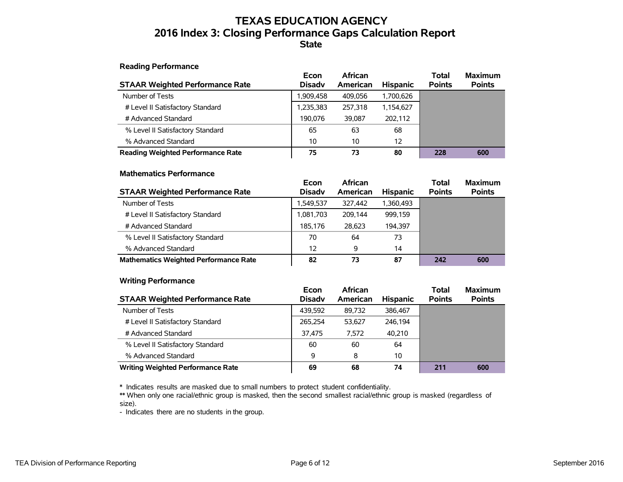## **TEXAS EDUCATION AGENCY 2016 Index 3: Closing Performance Gaps Calculation Report State**

### **Reading Performance**

| <b>STAAR Weighted Performance Rate</b>   | Econ<br><b>Disadv</b> | African<br>American | <b>Hispanic</b> | <b>Total</b><br><b>Points</b> | <b>Maximum</b><br><b>Points</b> |
|------------------------------------------|-----------------------|---------------------|-----------------|-------------------------------|---------------------------------|
| Number of Tests                          | 1,909,458             | 409.056             | 1,700,626       |                               |                                 |
| # Level II Satisfactory Standard         | 1,235,383             | 257.318             | 1,154,627       |                               |                                 |
| # Advanced Standard                      | 190.076               | 39.087              | 202.112         |                               |                                 |
| % Level II Satisfactory Standard         | 65                    | 63                  | 68              |                               |                                 |
| % Advanced Standard                      | 10                    | 10                  | 12              |                               |                                 |
| <b>Reading Weighted Performance Rate</b> | 75                    | 73                  | 80              | 228                           | 600                             |

### **Mathematics Performance**

| <b>STAAR Weighted Performance Rate</b>       | Econ<br><b>Disady</b> | <b>African</b><br>American | <b>Hispanic</b> | <b>Total</b><br><b>Points</b> | <b>Maximum</b><br><b>Points</b> |
|----------------------------------------------|-----------------------|----------------------------|-----------------|-------------------------------|---------------------------------|
| Number of Tests                              | 1.549.537             | 327.442                    | 1.360.493       |                               |                                 |
| # Level II Satisfactory Standard             | 1,081,703             | 209.144                    | 999.159         |                               |                                 |
| # Advanced Standard                          | 185.176               | 28,623                     | 194.397         |                               |                                 |
| % Level II Satisfactory Standard             | 70                    | 64                         | 73              |                               |                                 |
| % Advanced Standard                          | 12                    | 9                          | 14              |                               |                                 |
| <b>Mathematics Weighted Performance Rate</b> | 82                    | 73                         | 87              | 242                           | 600                             |

### **Writing Performance**

| <b>STAAR Weighted Performance Rate</b>   | Econ<br><b>Disady</b> | <b>African</b><br>American | <b>Hispanic</b> | <b>Total</b><br><b>Points</b> | <b>Maximum</b><br><b>Points</b> |
|------------------------------------------|-----------------------|----------------------------|-----------------|-------------------------------|---------------------------------|
| Number of Tests                          | 439.592               | 89,732                     | 386.467         |                               |                                 |
| # Level II Satisfactory Standard         | 265,254               | 53.627                     | 246.194         |                               |                                 |
| # Advanced Standard                      | 37,475                | 7.572                      | 40.210          |                               |                                 |
| % Level II Satisfactory Standard         | 60                    | 60                         | 64              |                               |                                 |
| % Advanced Standard                      | 9                     | 8                          | 10              |                               |                                 |
| <b>Writing Weighted Performance Rate</b> | 69                    | 68                         | 74              | 211                           | 600                             |

\* Indicates results are masked due to small numbers to protect student confidentiality.

\*\* When only one racial/ethnic group is masked, then the second smallest racial/ethnic group is masked (regardless of size).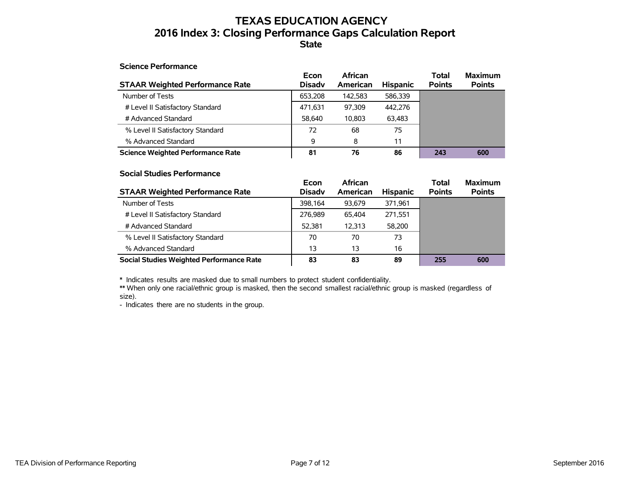## **TEXAS EDUCATION AGENCY 2016 Index 3: Closing Performance Gaps Calculation Report State**

### **Science Performance**

| <b>STAAR Weighted Performance Rate</b>   | Econ<br><b>Disady</b> | African<br>American | <b>Hispanic</b> | <b>Total</b><br><b>Points</b> | <b>Maximum</b><br><b>Points</b> |
|------------------------------------------|-----------------------|---------------------|-----------------|-------------------------------|---------------------------------|
| Number of Tests                          | 653.208               | 142.583             | 586.339         |                               |                                 |
| # Level II Satisfactory Standard         | 471,631               | 97.309              | 442.276         |                               |                                 |
| # Advanced Standard                      | 58.640                | 10.803              | 63,483          |                               |                                 |
| % Level II Satisfactory Standard         | 72                    | 68                  | 75              |                               |                                 |
| % Advanced Standard                      | 9                     | 8                   | 11              |                               |                                 |
| <b>Science Weighted Performance Rate</b> | 81                    | 76                  | 86              | 243                           | 600                             |

#### **Social Studies Performance**

| <b>STAAR Weighted Performance Rate</b>          | Econ<br><b>Disady</b> | <b>African</b><br>American | <b>Hispanic</b> | <b>Total</b><br><b>Points</b> | <b>Maximum</b><br><b>Points</b> |
|-------------------------------------------------|-----------------------|----------------------------|-----------------|-------------------------------|---------------------------------|
| Number of Tests                                 | 398.164               | 93.679                     | 371,961         |                               |                                 |
| # Level II Satisfactory Standard                | 276.989               | 65.404                     | 271,551         |                               |                                 |
| # Advanced Standard                             | 52.381                | 12.313                     | 58,200          |                               |                                 |
| % Level II Satisfactory Standard                | 70                    | 70                         | 73              |                               |                                 |
| % Advanced Standard                             | 13                    | 13                         | 16              |                               |                                 |
| <b>Social Studies Weighted Performance Rate</b> | 83                    | 83                         | 89              | 255                           | 600                             |

\* Indicates results are masked due to small numbers to protect student confidentiality.

\*\* When only one racial/ethnic group is masked, then the second smallest racial/ethnic group is masked (regardless of size).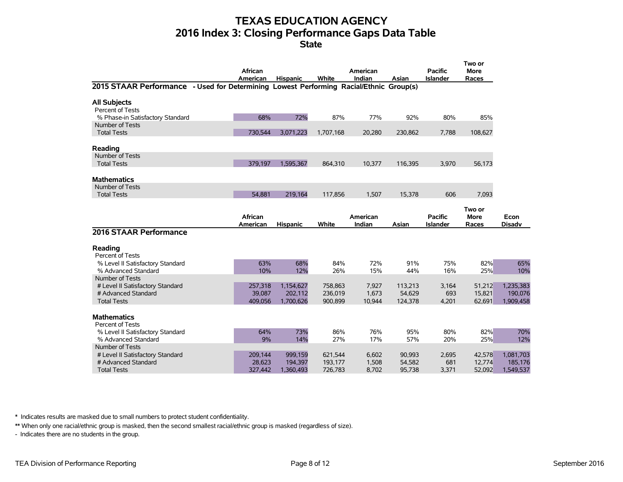# **TEXAS EDUCATION AGENCY 2016 Index 3: Closing Performance Gaps Data Table**

|                                                                                        | African<br>American | <b>Hispanic</b>    | White              | American<br>Indian | Asian            | <b>Pacific</b><br><b>Islander</b> | Two or<br><b>More</b><br>Races |                      |
|----------------------------------------------------------------------------------------|---------------------|--------------------|--------------------|--------------------|------------------|-----------------------------------|--------------------------------|----------------------|
| 2015 STAAR Performance - Used for Determining Lowest Performing Racial/Ethnic Group(s) |                     |                    |                    |                    |                  |                                   |                                |                      |
| <b>All Subjects</b><br>Percent of Tests                                                |                     |                    |                    |                    |                  |                                   |                                |                      |
| % Phase-in Satisfactory Standard                                                       | 68%                 | 72%                | 87%                | 77%                | 92%              | 80%                               | 85%                            |                      |
| Number of Tests                                                                        |                     |                    |                    |                    |                  |                                   |                                |                      |
| <b>Total Tests</b>                                                                     | 730,544             | 3,071,223          | 1,707,168          | 20,280             | 230,862          | 7,788                             | 108,627                        |                      |
| Reading                                                                                |                     |                    |                    |                    |                  |                                   |                                |                      |
| Number of Tests<br><b>Total Tests</b>                                                  | 379.197             | 1.595.367          | 864,310            | 10.377             | 116.395          | 3,970                             | 56,173                         |                      |
| <b>Mathematics</b>                                                                     |                     |                    |                    |                    |                  |                                   |                                |                      |
| Number of Tests<br><b>Total Tests</b>                                                  | 54.881              | 219,164            | 117,856            | 1.507              | 15,378           | 606                               | 7,093                          |                      |
|                                                                                        |                     |                    |                    |                    |                  |                                   |                                |                      |
|                                                                                        | African             |                    |                    | American           |                  | <b>Pacific</b>                    | Two or<br>More                 | Econ                 |
|                                                                                        | American            | <b>Hispanic</b>    | White              | Indian             | Asian            | <b>Islander</b>                   | Races                          | <b>Disadv</b>        |
| 2016 STAAR Performance                                                                 |                     |                    |                    |                    |                  |                                   |                                |                      |
| Reading<br>Percent of Tests                                                            |                     |                    |                    |                    |                  |                                   |                                |                      |
| % Level II Satisfactory Standard                                                       | 63%                 | 68%                | 84%                | 72%                | 91%              | 75%                               | 82%                            | 65%                  |
| % Advanced Standard                                                                    | 10%                 | 12%                | 26%                | 15%                | 44%              | 16%                               | 25%                            | 10%                  |
| Number of Tests<br># Level II Satisfactory Standard                                    | 257,318             | 1,154,627          | 758,863            | 7,927              | 113,213          | 3,164                             | 51,212                         | 1,235,383            |
| # Advanced Standard                                                                    | 39,087              | 202,112            | 236,019            | 1,673              | 54,629           | 693                               | 15,821                         | 190,076              |
| <b>Total Tests</b>                                                                     | 409.056             | 1,700,626          | 900,899            | 10,944             | 124,378          | 4,201                             | 62,691                         | 1,909,458            |
| <b>Mathematics</b><br>Percent of Tests                                                 |                     |                    |                    |                    |                  |                                   |                                |                      |
| % Level II Satisfactory Standard                                                       | 64%                 | 73%                | 86%                | 76%                | 95%              | 80%                               | 82%                            | 70%                  |
| % Advanced Standard                                                                    | 9%                  | 14%                | 27%                | 17%                | 57%              | 20%                               | 25%                            | 12%                  |
| Number of Tests                                                                        |                     |                    |                    |                    |                  |                                   |                                |                      |
| # Level II Satisfactory Standard<br># Advanced Standard                                | 209,144<br>28,623   | 999,159<br>194,397 | 621,544<br>193,177 | 6,602<br>1,508     | 90,993<br>54,582 | 2,695<br>681                      | 42,578<br>12,774               | 1,081,703<br>185,176 |
| <b>Total Tests</b>                                                                     | 327,442             | 1,360,493          | 726,783            | 8,702              | 95,738           | 3,371                             | 52,092                         | 1,549,537            |

\* Indicates results are masked due to small numbers to protect student confidentiality.

\*\* When only one racial/ethnic group is masked, then the second smallest racial/ethnic group is masked (regardless of size).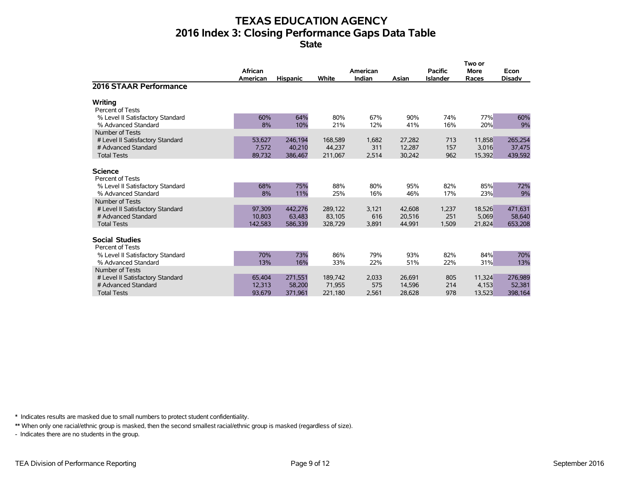# **TEXAS EDUCATION AGENCY 2016 Index 3: Closing Performance Gaps Data Table**

**State**

|                                                                                                  |                             |                              |                              |                       |                            |                                   | Two or                    |                              |
|--------------------------------------------------------------------------------------------------|-----------------------------|------------------------------|------------------------------|-----------------------|----------------------------|-----------------------------------|---------------------------|------------------------------|
|                                                                                                  | African<br>American         | <b>Hispanic</b>              | White                        | American<br>Indian    | Asian                      | <b>Pacific</b><br><b>Islander</b> | <b>More</b><br>Races      | Econ<br><b>Disadv</b>        |
| <b>2016 STAAR Performance</b>                                                                    |                             |                              |                              |                       |                            |                                   |                           |                              |
| Writing<br><b>Percent of Tests</b>                                                               |                             |                              |                              |                       |                            |                                   |                           |                              |
| % Level II Satisfactory Standard<br>% Advanced Standard                                          | 60%<br>8%                   | 64%<br>10%                   | 80%<br>21%                   | 67%<br>12%            | 90%<br>41%                 | 74%<br>16%                        | 77%<br>20%                | 60%<br>9%                    |
| Number of Tests<br># Level II Satisfactory Standard<br># Advanced Standard<br><b>Total Tests</b> | 53,627<br>7,572<br>89,732   | 246,194<br>40,210<br>386,467 | 168,589<br>44,237<br>211,067 | 1,682<br>311<br>2,514 | 27,282<br>12,287<br>30,242 | 713<br>157<br>962                 | 11,858<br>3,016<br>15,392 | 265,254<br>37,475<br>439,592 |
| <b>Science</b><br><b>Percent of Tests</b>                                                        |                             |                              |                              |                       |                            |                                   |                           |                              |
| % Level II Satisfactory Standard<br>% Advanced Standard<br>Number of Tests                       | 68%<br>8%                   | 75%<br>11%                   | 88%<br>25%                   | 80%<br>16%            | 95%<br>46%                 | 82%<br>17%                        | 85%<br>23%                | 72%<br>9%                    |
| # Level II Satisfactory Standard<br># Advanced Standard<br><b>Total Tests</b>                    | 97,309<br>10,803<br>142,583 | 442,276<br>63,483<br>586,339 | 289,122<br>83,105<br>328,729 | 3,121<br>616<br>3,891 | 42,608<br>20,516<br>44,991 | 1,237<br>251<br>1,509             | 18,526<br>5,069<br>21,824 | 471,631<br>58,640<br>653,208 |
| <b>Social Studies</b><br>Percent of Tests                                                        |                             |                              |                              |                       |                            |                                   |                           |                              |
| % Level II Satisfactory Standard<br>% Advanced Standard                                          | 70%<br>13%                  | 73%<br>16%                   | 86%<br>33%                   | 79%<br>22%            | 93%<br>51%                 | 82%<br>22%                        | 84%<br>31%                | 70%<br>13%                   |
| Number of Tests<br># Level II Satisfactory Standard<br># Advanced Standard                       | 65,404<br>12,313            | 271,551<br>58,200            | 189,742<br>71,955            | 2,033<br>575          | 26,691<br>14,596           | 805<br>214                        | 11,324<br>4,153           | 276,989<br>52,381            |
| <b>Total Tests</b>                                                                               | 93.679                      | 371,961                      | 221.180                      | 2,561                 | 28.628                     | 978                               | 13.523                    | 398,164                      |

\* Indicates results are masked due to small numbers to protect student confidentiality.

\*\* When only one racial/ethnic group is masked, then the second smallest racial/ethnic group is masked (regardless of size).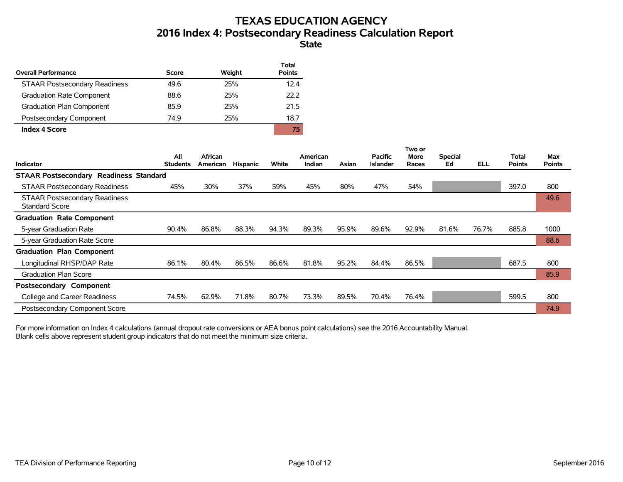# **TEXAS EDUCATION AGENCY 2016 Index 4: Postsecondary Readiness Calculation Report**

### **State**

| <b>Overall Performance</b>           | Score | Weight | Total<br><b>Points</b> |
|--------------------------------------|-------|--------|------------------------|
| <b>STAAR Postsecondary Readiness</b> | 49.6  | 25%    | 12.4                   |
| <b>Graduation Rate Component</b>     | 88.6  | 25%    | 22.2                   |
| Graduation Plan Component            | 85.9  | 25%    | 21.5                   |
| Postsecondary Component              | 74.9  | 25%    | 18.7                   |
| <b>Index 4 Score</b>                 |       |        | 75                     |

|                                                               |                        |                     |                 |       |                           |       |                                   | Two or        |                      |            |                               |                      |
|---------------------------------------------------------------|------------------------|---------------------|-----------------|-------|---------------------------|-------|-----------------------------------|---------------|----------------------|------------|-------------------------------|----------------------|
| <b>Indicator</b>                                              | All<br><b>Students</b> | African<br>American | <b>Hispanic</b> | White | American<br><b>Indian</b> | Asian | <b>Pacific</b><br><b>Islander</b> | More<br>Races | <b>Special</b><br>Ed | <b>ELL</b> | <b>Total</b><br><b>Points</b> | Max<br><b>Points</b> |
| <b>STAAR Postsecondary Readiness Standard</b>                 |                        |                     |                 |       |                           |       |                                   |               |                      |            |                               |                      |
| <b>STAAR Postsecondary Readiness</b>                          | 45%                    | 30%                 | 37%             | 59%   | 45%                       | 80%   | 47%                               | 54%           |                      |            | 397.0                         | 800                  |
| <b>STAAR Postsecondary Readiness</b><br><b>Standard Score</b> |                        |                     |                 |       |                           |       |                                   |               |                      |            |                               | 49.6                 |
| <b>Graduation Rate Component</b>                              |                        |                     |                 |       |                           |       |                                   |               |                      |            |                               |                      |
| 5-year Graduation Rate                                        | 90.4%                  | 86.8%               | 88.3%           | 94.3% | 89.3%                     | 95.9% | 89.6%                             | 92.9%         | 81.6%                | 76.7%      | 885.8                         | 1000                 |
| 5-year Graduation Rate Score                                  |                        |                     |                 |       |                           |       |                                   |               |                      |            |                               | 88.6                 |
| <b>Graduation Plan Component</b>                              |                        |                     |                 |       |                           |       |                                   |               |                      |            |                               |                      |
| Longitudinal RHSP/DAP Rate                                    | 86.1%                  | 80.4%               | 86.5%           | 86.6% | 81.8%                     | 95.2% | 84.4%                             | 86.5%         |                      |            | 687.5                         | 800                  |
| <b>Graduation Plan Score</b>                                  |                        |                     |                 |       |                           |       |                                   |               |                      |            |                               | 85.9                 |
| Postsecondary Component                                       |                        |                     |                 |       |                           |       |                                   |               |                      |            |                               |                      |
| College and Career Readiness                                  | 74.5%                  | 62.9%               | 71.8%           | 80.7% | 73.3%                     | 89.5% | 70.4%                             | 76.4%         |                      |            | 599.5                         | 800                  |
| Postsecondary Component Score                                 |                        |                     |                 |       |                           |       |                                   |               |                      |            |                               | 74.9                 |

For more information on Index 4 calculations (annual dropout rate conversions or AEA bonus point calculations) see the 2016 Accountability Manual. Blank cells above represent student group indicators that do not meet the minimum size criteria.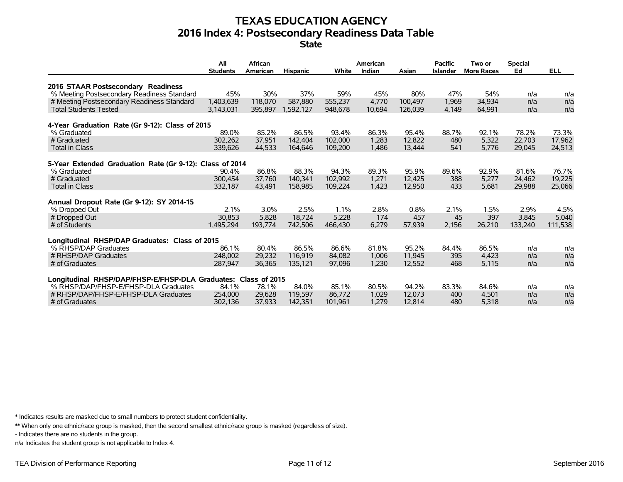# **TEXAS EDUCATION AGENCY 2016 Index 4: Postsecondary Readiness Data Table**

**State**

|                                                                | All              | African         |                  |                 | American       |                 | <b>Pacific</b>  | Two or            | <b>Special</b> |            |
|----------------------------------------------------------------|------------------|-----------------|------------------|-----------------|----------------|-----------------|-----------------|-------------------|----------------|------------|
|                                                                | <b>Students</b>  | American        | <b>Hispanic</b>  | White           | Indian         | Asian           | <b>Islander</b> | <b>More Races</b> | Ed             | <b>ELL</b> |
| 2016 STAAR Postsecondary Readiness                             |                  |                 |                  |                 |                |                 |                 |                   |                |            |
| % Meeting Postsecondary Readiness Standard                     | 45%              | 30%             | 37%              | 59%             | 45%            | 80%             | 47%             | 54%               | n/a            | n/a        |
| # Meeting Postsecondary Readiness Standard                     | 1,403,639        | 118,070         | 587.880          | 555,237         | 4.770          | 100.497         | 1,969           | 34,934            | n/a            | n/a        |
| <b>Total Students Tested</b>                                   | 3,143,031        | 395.897         | 1.592.127        | 948,678         | 10,694         | 126.039         | 4.149           | 64.991            | n/a            | n/a        |
|                                                                |                  |                 |                  |                 |                |                 |                 |                   |                |            |
| 4-Year Graduation Rate (Gr 9-12): Class of 2015<br>% Graduated | 89.0%            | 85.2%           | 86.5%            | 93.4%           | 86.3%          | 95.4%           | 88.7%           | 92.1%             | 78.2%          | 73.3%      |
| # Graduated                                                    | 302.262          | 37.951          | 142,404          | 102.000         | 1.283          | 12,822          | 480             | 5,322             | 22,703         | 17.962     |
| Total in Class                                                 | 339.626          | 44.533          | 164,646          | 109,200         | 1,486          | 13.444          | 541             | 5,776             | 29,045         | 24,513     |
|                                                                |                  |                 |                  |                 |                |                 |                 |                   |                |            |
| 5-Year Extended Graduation Rate (Gr 9-12): Class of 2014       |                  |                 |                  |                 |                |                 |                 |                   |                |            |
| % Graduated                                                    | 90.4%            | 86.8%           | 88.3%            | 94.3%           | 89.3%          | 95.9%           | 89.6%           | 92.9%             | 81.6%          | 76.7%      |
| # Graduated                                                    | 300.454          | 37,760          | 140.341          | 102.992         | 1,271          | 12,425          | 388             | 5,277             | 24.462         | 19,225     |
| <b>Total in Class</b>                                          | 332,187          | 43,491          | 158,985          | 109,224         | 1,423          | 12,950          | 433             | 5,681             | 29,988         | 25,066     |
| Annual Dropout Rate (Gr 9-12): SY 2014-15                      |                  |                 |                  |                 |                |                 |                 |                   |                |            |
| % Dropped Out                                                  | 2.1%             | 3.0%            | 2.5%             | 1.1%            | 2.8%           | 0.8%            | 2.1%            | 1.5%              | 2.9%           | 4.5%       |
| # Dropped Out                                                  | 30.853           | 5,828           | 18.724           | 5,228           | 174            | 457             | 45              | 397               | 3.845          | 5,040      |
| # of Students                                                  | 1,495,294        | 193.774         | 742.506          | 466,430         | 6,279          | 57,939          | 2,156           | 26,210            | 133.240        | 111,538    |
|                                                                |                  |                 |                  |                 |                |                 |                 |                   |                |            |
| Longitudinal RHSP/DAP Graduates: Class of 2015                 |                  |                 |                  |                 |                |                 |                 |                   |                |            |
| % RHSP/DAP Graduates<br># RHSP/DAP Graduates                   | 86.1%<br>248,002 | 80.4%<br>29.232 | 86.5%<br>116.919 | 86.6%<br>84.082 | 81.8%<br>1.006 | 95.2%<br>11.945 | 84.4%<br>395    | 86.5%<br>4.423    | n/a<br>n/a     | n/a        |
| # of Graduates                                                 | 287.947          | 36,365          | 135.121          | 97,096          | 1,230          | 12,552          | 468             | 5,115             | n/a            | n/a<br>n/a |
|                                                                |                  |                 |                  |                 |                |                 |                 |                   |                |            |
| Longitudinal RHSP/DAP/FHSP-E/FHSP-DLA Graduates: Class of 2015 |                  |                 |                  |                 |                |                 |                 |                   |                |            |
| % RHSP/DAP/FHSP-E/FHSP-DLA Graduates                           | 84.1%            | 78.1%           | 84.0%            | 85.1%           | 80.5%          | 94.2%           | 83.3%           | 84.6%             | n/a            | n/a        |
| # RHSP/DAP/FHSP-E/FHSP-DLA Graduates                           | 254,000          | 29,628          | 119.597          | 86.772          | 1,029          | 12.073          | 400             | 4,501             | n/a            | n/a        |
| # of Graduates                                                 | 302,136          | 37,933          | 142,351          | 101,961         | 1,279          | 12,814          | 480             | 5,318             | n/a            | n/a        |

\* Indicates results are masked due to small numbers to protect student confidentiality.

\*\* When only one ethnic/race group is masked, then the second smallest ethnic/race group is masked (regardless of size).

- Indicates there are no students in the group.

n/a Indicates the student group is not applicable to Index 4.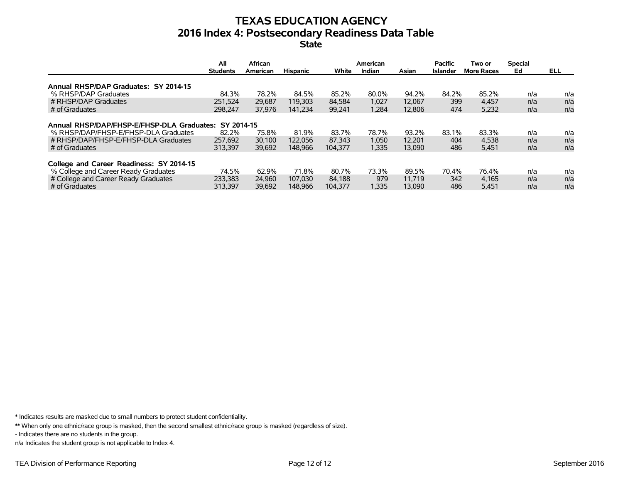## **TEXAS EDUCATION AGENCY 2016 Index 4: Postsecondary Readiness Data Table State**

|                                                                                                                                              | All<br><b>Students</b>                    | <b>African</b><br>American | <b>Hispanic</b>             | White                      | American<br>Indian      | Asian                     | <b>Pacific</b><br>Islander | Two or<br><b>More Races</b> | <b>Special</b><br>Ed | ELL               |
|----------------------------------------------------------------------------------------------------------------------------------------------|-------------------------------------------|----------------------------|-----------------------------|----------------------------|-------------------------|---------------------------|----------------------------|-----------------------------|----------------------|-------------------|
| Annual RHSP/DAP Graduates: SY 2014-15                                                                                                        |                                           |                            |                             |                            |                         |                           |                            |                             |                      |                   |
| % RHSP/DAP Graduates                                                                                                                         | 84.3%                                     | 78.2%                      | 84.5%                       | 85.2%                      | 80.0%                   | 94.2%                     | 84.2%                      | 85.2%                       | n/a                  | n/a               |
| # RHSP/DAP Graduates                                                                                                                         | 251.524                                   | 29,687                     | 119.303                     | 84.584                     | 1.027                   | 12.067                    | 399                        | 4,457                       | n/a                  | n/a               |
| # of Graduates                                                                                                                               | 298.247                                   | 37.976                     | 141.234                     | 99,241                     | 1,284                   | 12,806                    | 474                        | 5,232                       | n/a                  | n/a               |
| Annual RHSP/DAP/FHSP-E/FHSP-DLA Graduates:<br>% RHSP/DAP/FHSP-E/FHSP-DLA Graduates<br># RHSP/DAP/FHSP-E/FHSP-DLA Graduates<br># of Graduates | SY 2014-15<br>82.2%<br>257.692<br>313.397 | 75.8%<br>30,100<br>39,692  | 81.9%<br>122.056<br>148.966 | 83.7%<br>87.343<br>104.377 | 78.7%<br>1,050<br>1,335 | 93.2%<br>12.201<br>13,090 | 83.1%<br>404<br>486        | 83.3%<br>4,538<br>5,451     | n/a<br>n/a<br>n/a    | n/a<br>n/a<br>n/a |
| College and Career Readiness: SY 2014-15<br>% College and Career Ready Graduates<br># College and Career Ready Graduates<br># of Graduates   | 74.5%<br>233.383<br>313.397               | 62.9%<br>24,960<br>39,692  | 71.8%<br>107.030<br>148.966 | 80.7%<br>84.188<br>104.377 | 73.3%<br>979<br>1,335   | 89.5%<br>11.719<br>13.090 | 70.4%<br>342<br>486        | 76.4%<br>4.165<br>5,451     | n/a<br>n/a<br>n/a    | n/a<br>n/a<br>n/a |

\* Indicates results are masked due to small numbers to protect student confidentiality.

\*\* When only one ethnic/race group is masked, then the second smallest ethnic/race group is masked (regardless of size).

- Indicates there are no students in the group.

n/a Indicates the student group is not applicable to Index 4.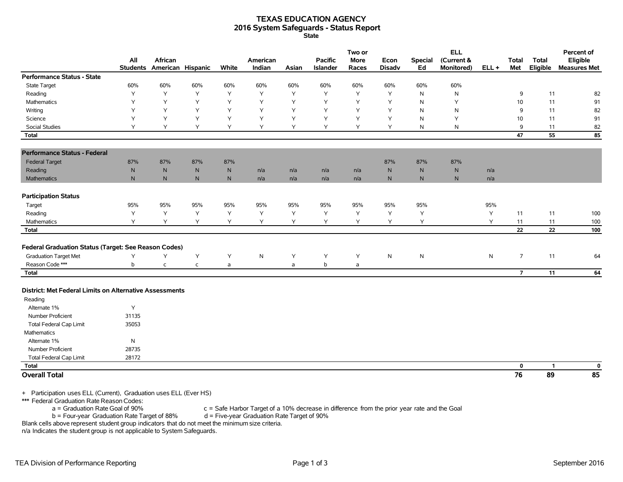### **TEXAS EDUCATION AGENCY 2016 System Safeguards - Status Report State**

|                                                                    | All          | African<br>Students American Hispanic |              | White | American<br>Indian | Asian | <b>Pacific</b><br>Islander | Two or<br><b>More</b><br>Races | Econ<br><b>Disadv</b> | Special<br>Ed | <b>ELL</b><br>(Current &<br>Monitored) | $ELL +$      | <b>Total</b><br>Met | <b>Total</b><br>Eligible | Percent of<br>Eligible<br><b>Measures Met</b> |
|--------------------------------------------------------------------|--------------|---------------------------------------|--------------|-------|--------------------|-------|----------------------------|--------------------------------|-----------------------|---------------|----------------------------------------|--------------|---------------------|--------------------------|-----------------------------------------------|
| <b>Performance Status - State</b>                                  |              |                                       |              |       |                    |       |                            |                                |                       |               |                                        |              |                     |                          |                                               |
| <b>State Target</b>                                                | 60%          | 60%                                   | 60%          | 60%   | 60%                | 60%   | 60%                        | 60%                            | 60%                   | 60%           | 60%                                    |              |                     |                          |                                               |
| Reading                                                            | Y            | Y                                     | Y            | Y     | Y                  | Y     | Y                          | Y                              | Y                     | N             | N                                      |              | 9                   | 11                       | 82                                            |
| Mathematics                                                        | Y            | Y                                     | Y            | Y     | Y                  | Y     | Y                          | Y                              | Y                     | N             | Υ                                      |              | 10                  | 11                       | 91                                            |
| Writing                                                            | Y            | Y                                     | Y            | Y     | Y                  | Y     | Y                          | Y                              | Y                     | N             | ${\sf N}$                              |              | 9                   | 11                       | 82                                            |
| Science                                                            | Y            | Y                                     | Y            | Y     | Y                  | Y     | Y                          | Y                              | Y                     | N             | Y                                      |              | 10 <sup>10</sup>    | 11                       | 91                                            |
| <b>Social Studies</b>                                              | Y            | Y                                     | Y            | Y     | Υ                  | Y     | Y                          | Y                              | Y                     | N             | N                                      |              | 9                   | 11                       | 82                                            |
| <b>Total</b>                                                       |              |                                       |              |       |                    |       |                            |                                |                       |               |                                        |              | 47                  | 55                       | 85                                            |
| <b>Performance Status - Federal</b>                                |              |                                       |              |       |                    |       |                            |                                |                       |               |                                        |              |                     |                          |                                               |
| <b>Federal Target</b>                                              | 87%          | 87%                                   | 87%          | 87%   |                    |       |                            |                                | 87%                   | 87%           | 87%                                    |              |                     |                          |                                               |
| Reading                                                            | ${\sf N}$    | ${\sf N}$                             | N            | N     | n/a                | n/a   | n/a                        | n/a                            | ${\sf N}$             | ${\sf N}$     | ${\sf N}$                              | n/a          |                     |                          |                                               |
| <b>Mathematics</b>                                                 | $\mathsf{N}$ | $\mathsf{N}$                          | N            | N     | n/a                | n/a   | n/a                        | n/a                            | $\mathsf{N}$          | $\mathsf{N}$  | $\mathsf{N}$                           | n/a          |                     |                          |                                               |
| <b>Participation Status</b>                                        |              |                                       |              |       |                    |       |                            |                                |                       |               |                                        |              |                     |                          |                                               |
| Target                                                             | 95%          | 95%                                   | 95%          | 95%   | 95%                | 95%   | 95%                        | 95%                            | 95%                   | 95%           |                                        | 95%          |                     |                          |                                               |
| Reading                                                            | Υ            | Y                                     | Υ            | Y     | Υ                  | Y     | Y                          | Υ                              | Υ                     | Υ             |                                        | Υ            | 11                  | 11                       | 100                                           |
| Mathematics                                                        | Y            | Y                                     | Y            | Y     | Y                  | Y     | Y                          | Y                              | Y                     | Y             |                                        | Y            | 11                  | 11                       | 100                                           |
| <b>Total</b>                                                       |              |                                       |              |       |                    |       |                            |                                |                       |               |                                        |              | 22                  | 22                       | 100                                           |
| <b>Federal Graduation Status (Target: See Reason Codes)</b>        |              |                                       |              |       |                    |       |                            |                                |                       |               |                                        |              |                     |                          |                                               |
| <b>Graduation Target Met</b>                                       | Υ            | Y                                     | Y            | Υ     | ${\sf N}$          | Υ     | Y                          | Υ                              | $\mathsf{N}$          | ${\sf N}$     |                                        | $\mathsf{N}$ | $\overline{7}$      | 11                       | 64                                            |
| Reason Code ***                                                    | b            | $\mathsf{C}$                          | $\mathsf{C}$ | a     |                    | a     | b                          | a                              |                       |               |                                        |              |                     |                          |                                               |
| <b>Total</b>                                                       |              |                                       |              |       |                    |       |                            |                                |                       |               |                                        |              | $\overline{7}$      | 11                       | 64                                            |
| District: Met Federal Limits on Alternative Assessments<br>Reading |              |                                       |              |       |                    |       |                            |                                |                       |               |                                        |              |                     |                          |                                               |
| Alternate 1%                                                       | Y            |                                       |              |       |                    |       |                            |                                |                       |               |                                        |              |                     |                          |                                               |
| <b>Number Proficient</b>                                           | 31135        |                                       |              |       |                    |       |                            |                                |                       |               |                                        |              |                     |                          |                                               |
| <b>Total Federal Cap Limit</b>                                     | 35053        |                                       |              |       |                    |       |                            |                                |                       |               |                                        |              |                     |                          |                                               |
| Mathematics                                                        |              |                                       |              |       |                    |       |                            |                                |                       |               |                                        |              |                     |                          |                                               |
| Alternate 1%                                                       | N            |                                       |              |       |                    |       |                            |                                |                       |               |                                        |              |                     |                          |                                               |
| Number Proficient                                                  | 28735        |                                       |              |       |                    |       |                            |                                |                       |               |                                        |              |                     |                          |                                               |
| <b>Total Federal Cap Limit</b>                                     | 28172        |                                       |              |       |                    |       |                            |                                |                       |               |                                        |              |                     |                          |                                               |
| <b>Total</b>                                                       |              |                                       |              |       |                    |       |                            |                                |                       |               |                                        |              | 0                   | $\mathbf{1}$             | $\mathbf 0$                                   |
| <b>Overall Total</b>                                               |              |                                       |              |       |                    |       |                            |                                |                       |               |                                        |              | 76                  | 89                       | 85                                            |

+ Participation uses ELL (Current), Graduation uses ELL (Ever HS)

\*\*\* Federal Graduation Rate Reason Codes:

 $a =$  Graduation Rate Goal of 90% c = Safe Harbor Target of a 10% decrease in difference from the prior year rate and the Goal b = Four-year Graduation Rate Target of 90%  $b =$  Four-year Graduation Rate Target of 88%

Blank cells above represent student group indicators that do not meet the minimum size criteria.

n/a Indicates the student group is not applicable to System Safeguards.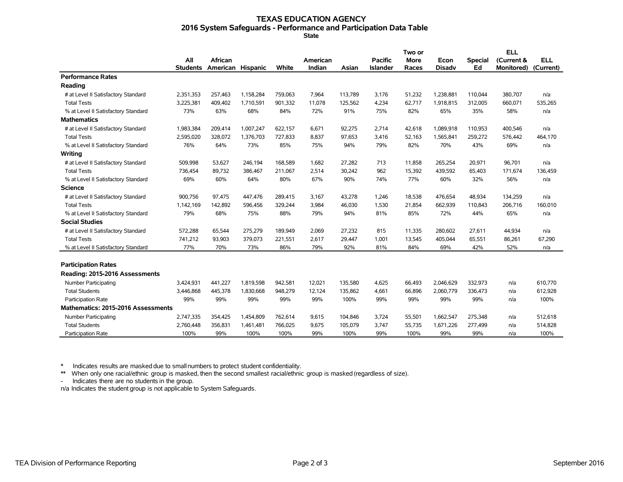#### **TEXAS EDUCATION AGENCY 2016 System Safeguards - Performance and Participation Data Table State**

|                                     |                 |                   |           |         |          |         |                 | Two or |               |                | <b>ELL</b>        |            |
|-------------------------------------|-----------------|-------------------|-----------|---------|----------|---------|-----------------|--------|---------------|----------------|-------------------|------------|
|                                     | All             | African           |           |         | American |         | <b>Pacific</b>  | More   | Econ          | <b>Special</b> | (Current &        | <b>ELL</b> |
|                                     | <b>Students</b> | American Hispanic |           | White   | Indian   | Asian   | <b>Islander</b> | Races  | <b>Disady</b> | Ed             | <b>Monitored)</b> | (Current)  |
| <b>Performance Rates</b>            |                 |                   |           |         |          |         |                 |        |               |                |                   |            |
| Reading                             |                 |                   |           |         |          |         |                 |        |               |                |                   |            |
| # at Level II Satisfactory Standard | 2,351,353       | 257,463           | 1,158,284 | 759,063 | 7,964    | 113,789 | 3,176           | 51,232 | 1,238,881     | 110,044        | 380,707           | n/a        |
| <b>Total Tests</b>                  | 3,225,381       | 409,402           | 1,710,591 | 901,332 | 11,078   | 125,562 | 4,234           | 62,717 | 1,918,815     | 312,005        | 660,071           | 535,265    |
| % at Level II Satisfactory Standard | 73%             | 63%               | 68%       | 84%     | 72%      | 91%     | 75%             | 82%    | 65%           | 35%            | 58%               | n/a        |
| <b>Mathematics</b>                  |                 |                   |           |         |          |         |                 |        |               |                |                   |            |
| # at Level II Satisfactory Standard | 1,983,384       | 209,414           | 1,007,247 | 622,157 | 6,671    | 92,275  | 2,714           | 42,618 | 1,089,918     | 110,953        | 400,546           | n/a        |
| <b>Total Tests</b>                  | 2,595,020       | 328,072           | 1,376,703 | 727,833 | 8,837    | 97,653  | 3,416           | 52,163 | 1,565,841     | 259,272        | 576,442           | 464,170    |
| % at Level II Satisfactory Standard | 76%             | 64%               | 73%       | 85%     | 75%      | 94%     | 79%             | 82%    | 70%           | 43%            | 69%               | n/a        |
| Writing                             |                 |                   |           |         |          |         |                 |        |               |                |                   |            |
| # at Level II Satisfactory Standard | 509,998         | 53,627            | 246,194   | 168,589 | 1,682    | 27,282  | 713             | 11,858 | 265,254       | 20,971         | 96,701            | n/a        |
| <b>Total Tests</b>                  | 736,454         | 89,732            | 386,467   | 211,067 | 2,514    | 30,242  | 962             | 15,392 | 439,592       | 65,403         | 171,674           | 136,459    |
| % at Level II Satisfactory Standard | 69%             | 60%               | 64%       | 80%     | 67%      | 90%     | 74%             | 77%    | 60%           | 32%            | 56%               | n/a        |
| <b>Science</b>                      |                 |                   |           |         |          |         |                 |        |               |                |                   |            |
| # at Level II Satisfactory Standard | 900,756         | 97,475            | 447,476   | 289,415 | 3,167    | 43,278  | 1,246           | 18,538 | 476,654       | 48,934         | 134,259           | n/a        |
| <b>Total Tests</b>                  | 1,142,169       | 142.892           | 596,456   | 329,244 | 3,984    | 46,030  | 1,530           | 21,854 | 662,939       | 110,843        | 206,716           | 160,010    |
| % at Level II Satisfactory Standard | 79%             | 68%               | 75%       | 88%     | 79%      | 94%     | 81%             | 85%    | 72%           | 44%            | 65%               | n/a        |
| <b>Social Studies</b>               |                 |                   |           |         |          |         |                 |        |               |                |                   |            |
| # at Level II Satisfactory Standard | 572,288         | 65,544            | 275,279   | 189,949 | 2,069    | 27,232  | 815             | 11,335 | 280,602       | 27,611         | 44,934            | n/a        |
| <b>Total Tests</b>                  | 741,212         | 93,903            | 379,073   | 221,551 | 2,617    | 29,447  | 1.001           | 13,545 | 405,044       | 65,551         | 86,261            | 67,290     |
| % at Level II Satisfactory Standard | 77%             | 70%               | 73%       | 86%     | 79%      | 92%     | 81%             | 84%    | 69%           | 42%            | 52%               | n/a        |
|                                     |                 |                   |           |         |          |         |                 |        |               |                |                   |            |
| <b>Participation Rates</b>          |                 |                   |           |         |          |         |                 |        |               |                |                   |            |
| Reading: 2015-2016 Assessments      |                 |                   |           |         |          |         |                 |        |               |                |                   |            |
| <b>Number Participating</b>         | 3,424,931       | 441,227           | 1,819,598 | 942,581 | 12,021   | 135,580 | 4,625           | 66,493 | 2,046,629     | 332,973        | n/a               | 610,770    |
| <b>Total Students</b>               | 3,446,868       | 445,378           | 1,830,668 | 948,279 | 12,124   | 135,862 | 4,661           | 66,896 | 2,060,779     | 336,473        | n/a               | 612,928    |
| Participation Rate                  | 99%             | 99%               | 99%       | 99%     | 99%      | 100%    | 99%             | 99%    | 99%           | 99%            | n/a               | 100%       |
| Mathematics: 2015-2016 Assessments  |                 |                   |           |         |          |         |                 |        |               |                |                   |            |
| Number Participating                | 2,747,335       | 354,425           | 1,454,809 | 762,614 | 9,615    | 104,846 | 3,724           | 55,501 | 1,662,547     | 275,348        | n/a               | 512,618    |
| <b>Total Students</b>               | 2,760,448       | 356,831           | 1,461,481 | 766,025 | 9,675    | 105,079 | 3,747           | 55,735 | 1,671,226     | 277,499        | n/a               | 514,828    |
| <b>Participation Rate</b>           | 100%            | 99%               | 100%      | 100%    | 99%      | 100%    | 99%             | 100%   | 99%           | 99%            | n/a               | 100%       |

\* Indicates results are masked due to smallnumbers to protect student confidentiality.

\*\* When only one racial/ethnic group is masked, then the second smallest racial/ethnic group is masked (regardless of size).

- Indicates there are no students in the group.

n/a Indicates the student group is not applicable to System Safeguards.